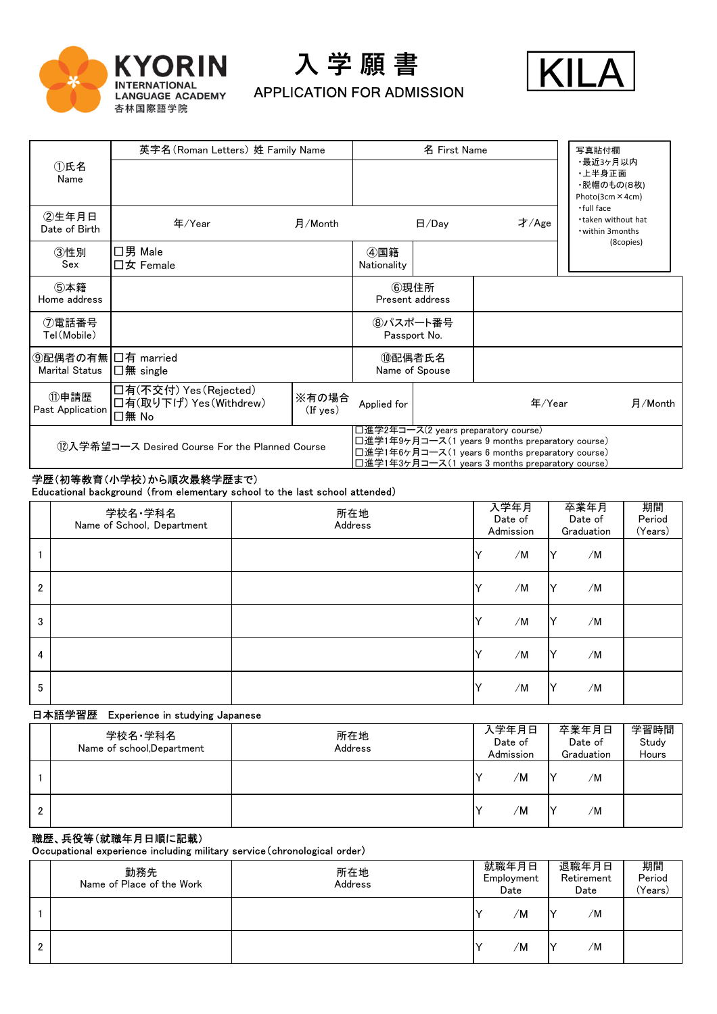

入 学 願 書





|                                                      | 英字名(Roman Letters) 姓 Family Name                           |                         |                    | 名 First Name             |                                                                                                                                                                                                  | 写真貼付欄                                                 |
|------------------------------------------------------|------------------------------------------------------------|-------------------------|--------------------|--------------------------|--------------------------------------------------------------------------------------------------------------------------------------------------------------------------------------------------|-------------------------------------------------------|
| ①氏名<br>Name                                          |                                                            |                         |                    |                          |                                                                                                                                                                                                  | ・最近3ヶ月以内<br>・上半身正面<br>・脱帽のもの(8枚)<br>Photo(3cm × 4cm)  |
| ②生年月日<br>Date of Birth                               | 年/Year                                                     | 月/Month                 |                    | H/Day                    | 才/Age                                                                                                                                                                                            | .full face<br>.taken without hat<br>• within 3 months |
| ③性別<br>Sex                                           | ロ男 Male<br>$\square$ 女 Female                              |                         | ④国籍<br>Nationality |                          |                                                                                                                                                                                                  | (8copies)                                             |
| ⑤本籍<br>Home address                                  |                                                            |                         |                    | ⑥現住所<br>Present address  |                                                                                                                                                                                                  |                                                       |
| ⑦電話番号<br>Tel (Mobile)                                |                                                            |                         | Passport No.       | 8パスポート番号                 |                                                                                                                                                                                                  |                                                       |
| ⑨配偶者の有無 ロ有 married<br>Marital Status $\Box$ 無 single |                                                            |                         |                    | ⑩配偶者氏名<br>Name of Spouse |                                                                                                                                                                                                  |                                                       |
| ⑪申請歴<br>Past Application                             | │□有(不交付) Yes(Rejected)<br>│□有(取り下げ) Yes(Withdrew)<br>□無 No | ※有の場合<br>$($ If yes $)$ | Applied for        |                          | 年/Year                                                                                                                                                                                           | 月/Month                                               |
|                                                      | 12入学希望コース Desired Course For the Planned Course            |                         |                    |                          | 口進学2年コース(2 years preparatory course)<br>□進学1年9ヶ月コース(1 years 9 months preparatory course)<br>□進学1年6ヶ月コース(1 years 6 months preparatory course)<br>口進学1年3ヶ月コース(1 years 3 months preparatory course) |                                                       |

# 学歴(初等教育(小学校)から順次最終学歴まで)

㻱㼐㼡㼏㼍㼠㼕㼛㼚㼍㼘 㼎㼍㼏㼗㼓㼞㼛㼡㼚㼐 䠄㼒㼞㼛㼙 㼑㼘㼑㼙㼑㼚㼠㼍㼞㼥 㼟㼏㼔㼛㼛㼘 㼠㼛 㼠㼔㼑 㼘㼍㼟㼠 㼟㼏㼔㼛㼛㼘 㼍㼠㼠㼑㼚㼐㼑㼐䠅

|                | 学校名·学科名<br>Name of School, Department | 所在地<br>Address |              | 入学年月<br>Date of<br>Admission | 卒業年月<br>Date of<br>Graduation | 期間<br>Period<br>(Years) |
|----------------|---------------------------------------|----------------|--------------|------------------------------|-------------------------------|-------------------------|
|                |                                       |                |              | /M                           | /M<br>Y                       |                         |
| $\overline{2}$ |                                       |                |              | /M                           | /M<br>Y                       |                         |
| 3              |                                       |                | $\checkmark$ | /M                           | /M<br>Y                       |                         |
| 4              |                                       |                | v            | /M                           | /M<br>Y                       |                         |
| 5              |                                       |                |              | /M                           | /M<br>Y                       |                         |

#### 日本語学習歴 Experience in studying Japanese

|   | 学校名・学科名<br>Name of school, Department | 所在地<br>Address | 入学年月日<br>Date of<br>Admission | 卒業年月日<br>Date of<br>Graduation | 学習時間<br>Study<br>Hours |
|---|---------------------------------------|----------------|-------------------------------|--------------------------------|------------------------|
|   |                                       |                | 'M                            | ıν<br>/M                       |                        |
| 2 |                                       |                | 'M                            | Ⅳ<br>/M                        |                        |

# 職歴、兵役等(就職年月日順に記載)

<del>**WELTHER**</del>

|              | 勤務先<br>Name of Place of the Work | 所在地<br>Address | 就職年月日<br>Employment<br>Date | 退職年月日<br>Retirement<br>Date | 期間<br>Period<br>(Years) |
|--------------|----------------------------------|----------------|-----------------------------|-----------------------------|-------------------------|
|              |                                  |                | /M                          | /M<br>IV                    |                         |
| <sup>2</sup> |                                  |                | 'M                          | /M<br>N                     |                         |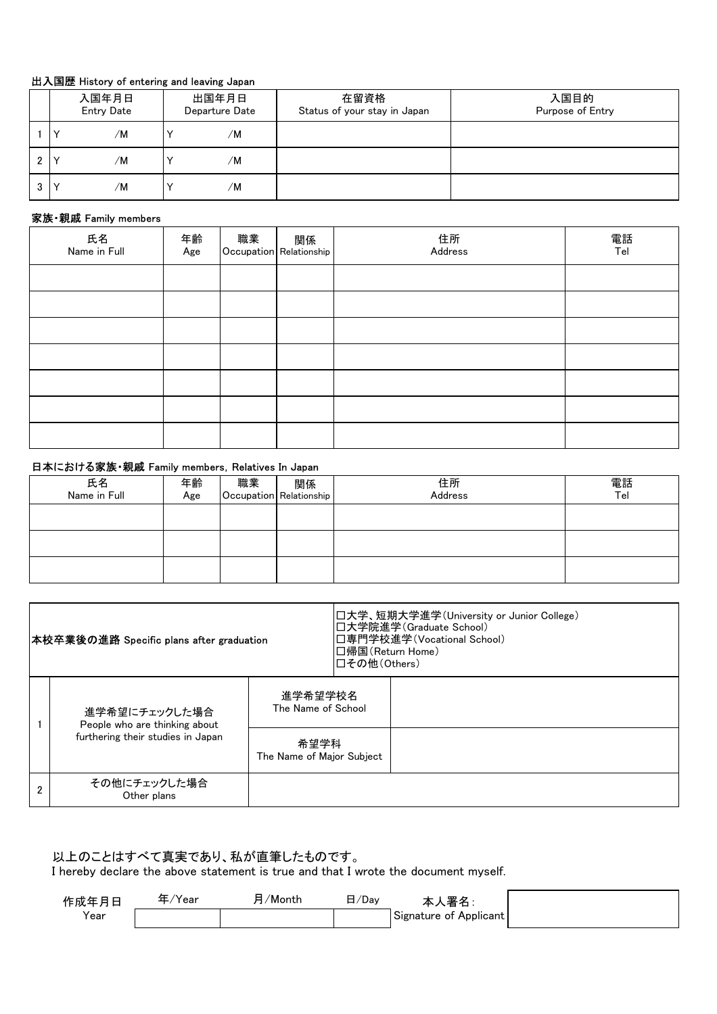### 出入国歴 History of entering and leaving Japan

|    |              | 入国年月日<br><b>Entry Date</b> | 出国年月日<br>Departure Date | 在留資格<br>Status of your stay in Japan | 入国目的<br>Purpose of Entry |
|----|--------------|----------------------------|-------------------------|--------------------------------------|--------------------------|
|    | $\checkmark$ | /M                         | /M                      |                                      |                          |
| C. | $\checkmark$ | /M                         | /M                      |                                      |                          |
| 3  | $\checkmark$ | /M                         | /M                      |                                      |                          |

# 家族·親戚 Family members

| 氏名<br>Name in Full | 年齢<br>Age | 職業   関係  <br> Occupation Relationship | 住所<br>Address | 電話<br>Tel |
|--------------------|-----------|---------------------------------------|---------------|-----------|
|                    |           |                                       |               |           |
|                    |           |                                       |               |           |
|                    |           |                                       |               |           |
|                    |           |                                       |               |           |
|                    |           |                                       |               |           |
|                    |           |                                       |               |           |
|                    |           |                                       |               |           |

#### 日本における家族・親戚 Family members, Relatives In Japan

| 氏名<br>Name in Full | 年齢<br>Age | 職業 | 関係<br>Occupation Relationship | 住所<br>Address | 電話<br>Tel |
|--------------------|-----------|----|-------------------------------|---------------|-----------|
|                    |           |    |                               |               |           |
|                    |           |    |                               |               |           |
|                    |           |    |                               |               |           |

| 本校卒業後の進路 Specific plans after graduation       |                                   | │□帰国(Return Home)<br>□その他(Others) | 口大学、短期大学進学(University or Junior College)<br>□大学院進学(Graduate School)<br>│□専門学校進学(Vocational School) |
|------------------------------------------------|-----------------------------------|-----------------------------------|----------------------------------------------------------------------------------------------------|
| 進学希望にチェックした場合<br>People who are thinking about | 進学希望学校名<br>The Name of School     |                                   |                                                                                                    |
| furthering their studies in Japan              | 希望学科<br>The Name of Major Subject |                                   |                                                                                                    |
| その他にチェックした場合<br>Other plans                    |                                   |                                   |                                                                                                    |

## 以上のことはすべて真実であり、私が直筆したものです。

I hereby declare the above statement is true and that I wrote the document myself.

| 作成年月日            | 'Year | /Month | $\sqrt{2}$<br>. ∕ Da∨ | 罜々<br>ு⊣               |
|------------------|-------|--------|-----------------------|------------------------|
| V <sub>ear</sub> |       |        |                       | Signature of Applicant |